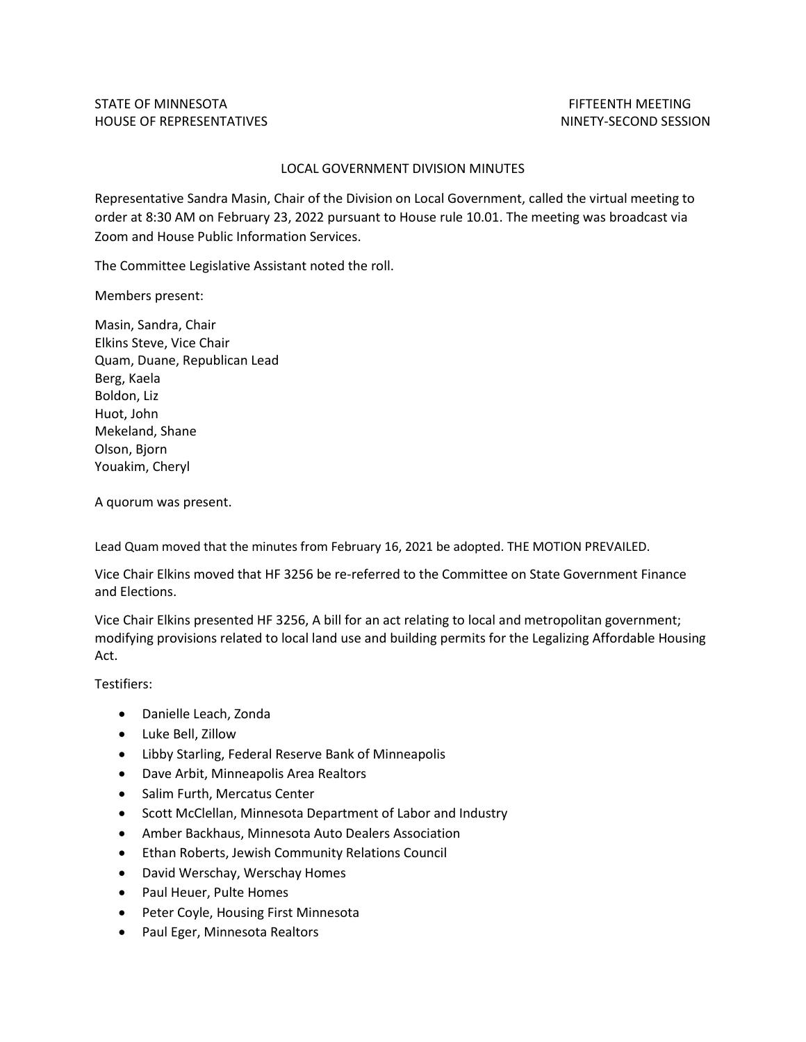## LOCAL GOVERNMENT DIVISION MINUTES

Representative Sandra Masin, Chair of the Division on Local Government, called the virtual meeting to order at 8:30 AM on February 23, 2022 pursuant to House rule 10.01. The meeting was broadcast via Zoom and House Public Information Services.

The Committee Legislative Assistant noted the roll.

Members present:

Masin, Sandra, Chair Elkins Steve, Vice Chair Quam, Duane, Republican Lead Berg, Kaela Boldon, Liz Huot, John Mekeland, Shane Olson, Bjorn Youakim, Cheryl

A quorum was present.

Lead Quam moved that the minutes from February 16, 2021 be adopted. THE MOTION PREVAILED.

Vice Chair Elkins moved that HF 3256 be re-referred to the Committee on State Government Finance and Elections.

Vice Chair Elkins presented HF 3256, A bill for an act relating to local and metropolitan government; modifying provisions related to local land use and building permits for the Legalizing Affordable Housing Act.

Testifiers:

- Danielle Leach, Zonda
- Luke Bell, Zillow
- Libby Starling, Federal Reserve Bank of Minneapolis
- Dave Arbit, Minneapolis Area Realtors
- Salim Furth, Mercatus Center
- Scott McClellan, Minnesota Department of Labor and Industry
- Amber Backhaus, Minnesota Auto Dealers Association
- Ethan Roberts, Jewish Community Relations Council
- David Werschay, Werschay Homes
- Paul Heuer, Pulte Homes
- Peter Coyle, Housing First Minnesota
- Paul Eger, Minnesota Realtors